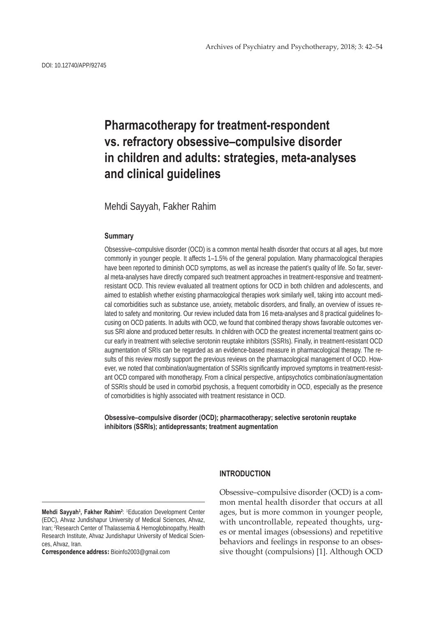# **Pharmacotherapy for treatment-respondent vs. refractory obsessive–compulsive disorder in children and adults: strategies, meta-analyses and clinical guidelines**

Mehdi Sayyah, Fakher Rahim

## **Summary**

Obsessive–compulsive disorder (OCD) is a common mental health disorder that occurs at all ages, but more commonly in younger people. It affects 1–1.5% of the general population. Many pharmacological therapies have been reported to diminish OCD symptoms, as well as increase the patient's quality of life. So far, several meta-analyses have directly compared such treatment approaches in treatment-responsive and treatmentresistant OCD. This review evaluated all treatment options for OCD in both children and adolescents, and aimed to establish whether existing pharmacological therapies work similarly well, taking into account medical comorbidities such as substance use, anxiety, metabolic disorders, and finally, an overview of issues related to safety and monitoring. Our review included data from 16 meta-analyses and 8 practical guidelines focusing on OCD patients. In adults with OCD, we found that combined therapy shows favorable outcomes versus SRI alone and produced better results. In children with OCD the greatest incremental treatment gains occur early in treatment with selective serotonin reuptake inhibitors (SSRIs). Finally, in treatment-resistant OCD augmentation of SRIs can be regarded as an evidence-based measure in pharmacological therapy. The results of this review mostly support the previous reviews on the pharmacological management of OCD. However, we noted that combination/augmentation of SSRIs significantly improved symptoms in treatment-resistant OCD compared with monotherapy. From a clinical perspective, antipsychotics combination/augmentation of SSRIs should be used in comorbid psychosis, a frequent comorbidity in OCD, especially as the presence of comorbidities is highly associated with treatment resistance in OCD.

**Obsessive–compulsive disorder (OCD); pharmacotherapy; selective serotonin reuptake inhibitors (SSRIs); antidepressants; treatment augmentation**

**Mehdi Sayyah<sup>1</sup> , Fakher Rahim<sup>2</sup>** : 1 Education Development Center (EDC), Ahvaz Jundishapur University of Medical Sciences, Ahvaz, Iran; 2 Research Center of Thalassemia & Hemoglobinopathy, Health Research Institute, Ahvaz Jundishapur University of Medical Sciences, Ahvaz, Iran.

**Correspondence address:** Bioinfo2003@gmail.com

## **INTRODUCTION**

Obsessive–compulsive disorder (OCD) is a common mental health disorder that occurs at all ages, but is more common in younger people, with uncontrollable, repeated thoughts, urges or mental images (obsessions) and repetitive behaviors and feelings in response to an obsessive thought (compulsions) [1]. Although OCD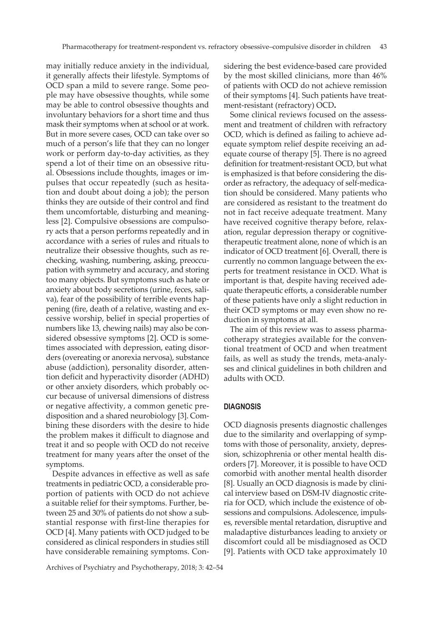may initially reduce anxiety in the individual, it generally affects their lifestyle. Symptoms of OCD span a mild to severe range. Some people may have obsessive thoughts, while some may be able to control obsessive thoughts and involuntary behaviors for a short time and thus mask their symptoms when at school or at work. But in more severe cases, OCD can take over so much of a person's life that they can no longer work or perform day-to-day activities, as they spend a lot of their time on an obsessive ritual. Obsessions include thoughts, images or impulses that occur repeatedly (such as hesitation and doubt about doing a job); the person thinks they are outside of their control and find them uncomfortable, disturbing and meaningless [2]. Compulsive obsessions are compulsory acts that a person performs repeatedly and in accordance with a series of rules and rituals to neutralize their obsessive thoughts, such as rechecking, washing, numbering, asking, preoccupation with symmetry and accuracy, and storing too many objects. But symptoms such as hate or anxiety about body secretions (urine, feces, saliva), fear of the possibility of terrible events happening (fire, death of a relative, wasting and excessive worship, belief in special properties of numbers like 13, chewing nails) may also be considered obsessive symptoms [2]. OCD is sometimes associated with depression, eating disorders (overeating or anorexia nervosa), substance abuse (addiction), personality disorder, attention deficit and hyperactivity disorder (ADHD) or other anxiety disorders, which probably occur because of universal dimensions of distress or negative affectivity, a common genetic predisposition and a shared neurobiology [3]. Combining these disorders with the desire to hide the problem makes it difficult to diagnose and treat it and so people with OCD do not receive treatment for many years after the onset of the symptoms.

Despite advances in effective as well as safe treatments in pediatric OCD, a considerable proportion of patients with OCD do not achieve a suitable relief for their symptoms. Further, between 25 and 30% of patients do not show a substantial response with first-line therapies for OCD [4]. Many patients with OCD judged to be considered as clinical responders in studies still have considerable remaining symptoms. Considering the best evidence-based care provided by the most skilled clinicians, more than 46% of patients with OCD do not achieve remission of their symptoms [4]. Such patients have treatment-resistant (refractory) OCD**.**

Some clinical reviews focused on the assessment and treatment of children with refractory OCD, which is defined as failing to achieve adequate symptom relief despite receiving an adequate course of therapy [5]. There is no agreed definition for treatment-resistant OCD, but what is emphasized is that before considering the disorder as refractory, the adequacy of self-medication should be considered. Many patients who are considered as resistant to the treatment do not in fact receive adequate treatment. Many have received cognitive therapy before, relaxation, regular depression therapy or cognitivetherapeutic treatment alone, none of which is an indicator of OCD treatment [6]. Overall, there is currently no common language between the experts for treatment resistance in OCD. What is important is that, despite having received adequate therapeutic efforts, a considerable number of these patients have only a slight reduction in their OCD symptoms or may even show no reduction in symptoms at all.

The aim of this review was to assess pharmacotherapy strategies available for the conventional treatment of OCD and when treatment fails, as well as study the trends, meta-analyses and clinical guidelines in both children and adults with OCD.

## **DIAGNOSIS**

OCD diagnosis presents diagnostic challenges due to the similarity and overlapping of symptoms with those of personality, anxiety, depression, schizophrenia or other mental health disorders [7]. Moreover, it is possible to have OCD comorbid with another mental health disorder [8]. Usually an OCD diagnosis is made by clinical interview based on DSM-IV diagnostic criteria for OCD, which include the existence of obsessions and compulsions. Adolescence, impulses, reversible mental retardation, disruptive and maladaptive disturbances leading to anxiety or discomfort could all be misdiagnosed as OCD [9]. Patients with OCD take approximately 10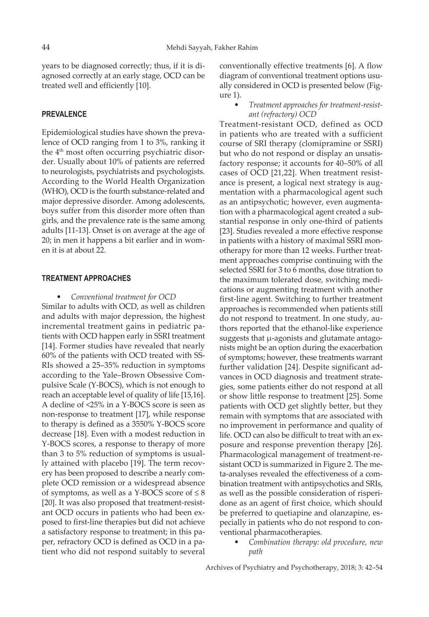years to be diagnosed correctly; thus, if it is diagnosed correctly at an early stage, OCD can be treated well and efficiently [10].

## **PREVALENCE**

Epidemiological studies have shown the prevalence of OCD ranging from 1 to 3%, ranking it the 4<sup>th</sup> most often occurring psychiatric disorder. Usually about 10% of patients are referred to neurologists, psychiatrists and psychologists. According to the World Health Organization (WHO), OCD is the fourth substance-related and major depressive disorder. Among adolescents, boys suffer from this disorder more often than girls, and the prevalence rate is the same among adults [11-13]. Onset is on average at the age of 20; in men it happens a bit earlier and in women it is at about 22.

#### **TREATMENT APPROACHES**

• *Conventional treatment for OCD*

Similar to adults with OCD, as well as children and adults with major depression, the highest incremental treatment gains in pediatric patients with OCD happen early in SSRI treatment [14]. Former studies have revealed that nearly 60% of the patients with OCD treated with SS-RIs showed a 25–35% reduction in symptoms according to the Yale–Brown Obsessive Compulsive Scale (Y-BOCS), which is not enough to reach an acceptable level of quality of life [15,16]. A decline of <25% in a Y-BOCS score is seen as non-response to treatment [17], while response to therapy is defined as a 3550% Y-BOCS score decrease [18]. Even with a modest reduction in Y-BOCS scores, a response to therapy of more than 3 to 5% reduction of symptoms is usually attained with placebo [19]. The term recovery has been proposed to describe a nearly complete OCD remission or a widespread absence of symptoms, as well as a Y-BOCS score of  $\leq 8$ [20]. It was also proposed that treatment-resistant OCD occurs in patients who had been exposed to first-line therapies but did not achieve a satisfactory response to treatment; in this paper, refractory OCD is defined as OCD in a patient who did not respond suitably to several

conventionally effective treatments [6]. A flow diagram of conventional treatment options usually considered in OCD is presented below (Figure 1).

• *Treatment approaches for treatment-resistant (refractory) OCD*

Treatment-resistant OCD, defined as OCD in patients who are treated with a sufficient course of SRI therapy (clomipramine or SSRI) but who do not respond or display an unsatisfactory response; it accounts for 40–50% of all cases of OCD [21,22]. When treatment resistance is present, a logical next strategy is augmentation with a pharmacological agent such as an antipsychotic; however, even augmentation with a pharmacological agent created a substantial response in only one-third of patients [23]. Studies revealed a more effective response in patients with a history of maximal SSRI monotherapy for more than 12 weeks. Further treatment approaches comprise continuing with the selected SSRI for 3 to 6 months, dose titration to the maximum tolerated dose, switching medications or augmenting treatment with another first-line agent. Switching to further treatment approaches is recommended when patients still do not respond to treatment. In one study, authors reported that the ethanol-like experience suggests that  $\mu$ -agonists and glutamate antagonists might be an option during the exacerbation of symptoms; however, these treatments warrant further validation [24]. Despite significant advances in OCD diagnosis and treatment strategies, some patients either do not respond at all or show little response to treatment [25]. Some patients with OCD get slightly better, but they remain with symptoms that are associated with no improvement in performance and quality of life. OCD can also be difficult to treat with an exposure and response prevention therapy [26]. Pharmacological management of treatment-resistant OCD is summarized in Figure 2. The meta-analyses revealed the effectiveness of a combination treatment with antipsychotics and SRIs, as well as the possible consideration of risperidone as an agent of first choice, which should be preferred to quetiapine and olanzapine, especially in patients who do not respond to conventional pharmacotherapies.

> • *Combination therapy: old procedure, new path*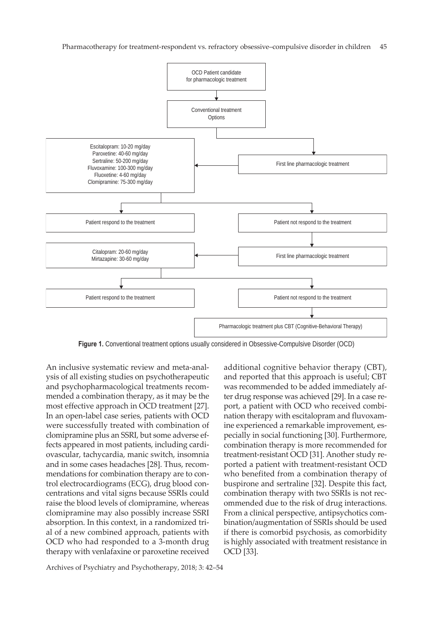

Figure 1. Conventional treatment options usually considered in Obsessive-Compulsive Disorder (OCD)

An inclusive systematic review and meta-analysis of all existing studies on psychotherapeutic and psychopharmacological treatments recommended a combination therapy, as it may be the most effective approach in OCD treatment [27]. In an open-label case series, patients with OCD were successfully treated with combination of clomipramine plus an SSRI, but some adverse effects appeared in most patients, including cardiovascular, tachycardia, manic switch, insomnia and in some cases headaches [28]. Thus, recommendations for combination therapy are to control electrocardiograms (ECG), drug blood concentrations and vital signs because SSRIs could raise the blood levels of clomipramine, whereas clomipramine may also possibly increase SSRI absorption. In this context, in a randomized trial of a new combined approach, patients with OCD who had responded to a 3-month drug therapy with venlafaxine or paroxetine received

and reported that this approach is useful; CBT was recommended to be added immediately after drug response was achieved [29]. In a case report, a patient with OCD who received combination therapy with escitalopram and fluvoxamine experienced a remarkable improvement, especially in social functioning [30]. Furthermore, combination therapy is more recommended for treatment-resistant OCD [31]. Another study reported a patient with treatment-resistant OCD who benefited from a combination therapy of buspirone and sertraline [32]. Despite this fact, combination therapy with two SSRIs is not recommended due to the risk of drug interactions. From a clinical perspective, antipsychotics combination/augmentation of SSRIs should be used if there is comorbid psychosis, as comorbidity is highly associated with treatment resistance in OCD [33].

additional cognitive behavior therapy (CBT),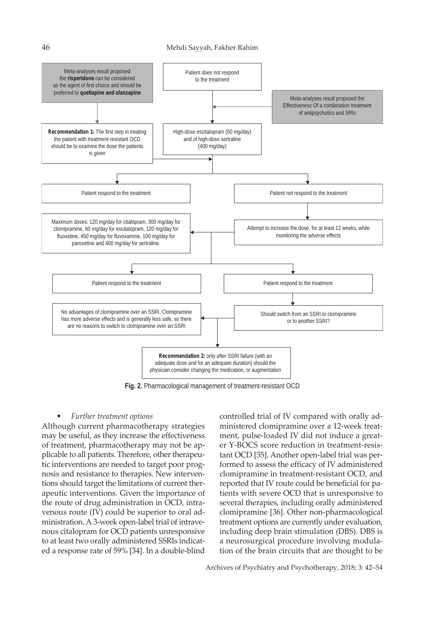

**Fig. 2.** Pharmacological management of treatment-resistant OCD

#### • *Further treatment options*

Although current pharmacotherapy strategies may be useful, as they increase the effectiveness of treatment, pharmacotherapy may not be applicable to all patients. Therefore, other therapeutic interventions are needed to target poor prognosis and resistance to therapies. New interventions should target the limitations of current therapeutic interventions. Given the importance of the route of drug administration in OCD, intravenous route (IV) could be superior to oral administration. A 3-week open-label trial of intravenous citalopram for OCD patients unresponsive to at least two orally administered SSRIs indicated a response rate of 59% [34]. In a double-blind controlled trial of IV compared with orally administered clomipramine over a 12-week treatment, pulse-loaded IV did not induce a greater Y-BOCS score reduction in treatment-resistant OCD [35]. Another open-label trial was performed to assess the efficacy of IV administered clomipramine in treatment-resistant OCD, and reported that IV route could be beneficial for patients with severe OCD that is unresponsive to several therapies, including orally administered clomipramine [36]. Other non-pharmacological treatment options are currently under evaluation, including deep brain stimulation (DBS). DBS is a neurosurgical procedure involving modulation of the brain circuits that are thought to be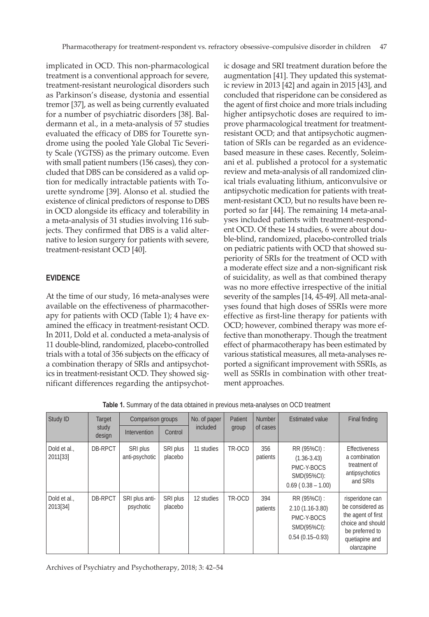implicated in OCD. This non-pharmacological treatment is a conventional approach for severe, treatment-resistant neurological disorders such as Parkinson's disease, dystonia and essential tremor [37], as well as being currently evaluated for a number of psychiatric disorders [38]. Baldermann et al., in a meta-analysis of 57 studies evaluated the efficacy of DBS for Tourette syndrome using the pooled Yale Global Tic Severity Scale (YGTSS) as the primary outcome. Even with small patient numbers (156 cases), they concluded that DBS can be considered as a valid option for medically intractable patients with Tourette syndrome [39]. Alonso et al. studied the existence of clinical predictors of response to DBS in OCD alongside its efficacy and tolerability in a meta-analysis of 31 studies involving 116 subjects. They confirmed that DBS is a valid alternative to lesion surgery for patients with severe, treatment-resistant OCD [40].

# **EVIDENCE**

At the time of our study, 16 meta-analyses were available on the effectiveness of pharmacotherapy for patients with OCD (Table 1); 4 have examined the efficacy in treatment-resistant OCD. In 2011, Dold et al. conducted a meta-analysis of 11 double-blind, randomized, placebo-controlled trials with a total of 356 subjects on the efficacy of a combination therapy of SRIs and antipsychotics in treatment-resistant OCD. They showed significant differences regarding the antipsychot-

ic dosage and SRI treatment duration before the augmentation [41]. They updated this systematic review in 2013 [42] and again in 2015 [43], and concluded that risperidone can be considered as the agent of first choice and more trials including higher antipsychotic doses are required to improve pharmacological treatment for treatmentresistant OCD; and that antipsychotic augmentation of SRIs can be regarded as an evidencebased measure in these cases. Recently, Soleimani et al. published a protocol for a systematic review and meta-analysis of all randomized clinical trials evaluating lithium, anticonvulsive or antipsychotic medication for patients with treatment-resistant OCD, but no results have been reported so far [44]. The remaining 14 meta-analyses included patients with treatment-respondent OCD. Of these 14 studies, 6 were about double-blind, randomized, placebo-controlled trials on pediatric patients with OCD that showed superiority of SRIs for the treatment of OCD with a moderate effect size and a non-significant risk of suicidality, as well as that combined therapy was no more effective irrespective of the initial severity of the samples [14, 45-49]. All meta-analyses found that high doses of SSRIs were more effective as first-line therapy for patients with OCD; however, combined therapy was more effective than monotherapy. Though the treatment effect of pharmacotherapy has been estimated by various statistical measures, all meta-analyses reported a significant improvement with SSRIs, as well as SSRIs in combination with other treatment approaches.

| Study ID<br>Target<br>study<br>design |                | Comparison groups           |                     | No. of paper | Patient | <b>Number</b>   | <b>Estimated value</b>                                                                   | Final finding                                                                                                                     |
|---------------------------------------|----------------|-----------------------------|---------------------|--------------|---------|-----------------|------------------------------------------------------------------------------------------|-----------------------------------------------------------------------------------------------------------------------------------|
|                                       |                | Intervention                | Control             | included     | group   | of cases        |                                                                                          |                                                                                                                                   |
| Dold et al.,<br>2011[33]              | <b>DB-RPCT</b> | SRI plus<br>anti-psychotic  | SRI plus<br>placebo | 11 studies   | TR-OCD  | 356<br>patients | RR (95%CI) :<br>$(1.36 - 3.43)$<br>PMC-Y-BOCS<br>SMD(95%CI):<br>$0.69$ ( $0.38 - 1.00$ ) | <b>Effectiveness</b><br>a combination<br>treatment of<br>antipsychotics<br>and SRIs                                               |
| Dold et al.,<br>2013[34]              | DB-RPCT        | SRI plus anti-<br>psychotic | SRI plus<br>placebo | 12 studies   | TR-OCD  | 394<br>patients | RR (95%CI) :<br>$2.10(1.16-3.80)$<br>PMC-Y-BOCS<br>SMD(95%CI):<br>$0.54(0.15 - 0.93)$    | risperidone can<br>be considered as<br>the agent of first<br>choice and should<br>be preferred to<br>quetiapine and<br>olanzapine |

**Table 1.** Summary of the data obtained in previous meta-analyses on OCD treatment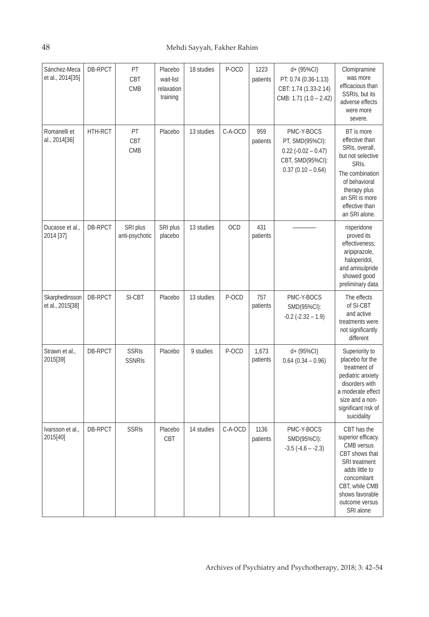| Sánchez-Meca<br>et al., 2014[35]   | DB-RPCT | PT<br>CBT<br><b>CMB</b>       | Placebo<br>wait-list<br>relaxation<br>training | 18 studies | P-OCD   | 1223<br>patients  | d+ (95%CI)<br>PT: 0.74 (0.36-1.13)<br>CBT: 1.74 (1.33-2.14)<br>CMB: 1.71 (1.0 - 2.42)             | Clomipramine<br>was more<br>efficacious than<br>SSRIs, but its<br>adverse effects<br>were more<br>severe.                                                                                      |
|------------------------------------|---------|-------------------------------|------------------------------------------------|------------|---------|-------------------|---------------------------------------------------------------------------------------------------|------------------------------------------------------------------------------------------------------------------------------------------------------------------------------------------------|
| Romanelli et<br>al., 2014[36]      | HTH-RCT | PT<br>CBT<br><b>CMB</b>       | Placebo                                        | 13 studies | C-A-OCD | 959<br>patients   | PMC-Y-BOCS<br>PT, SMD(95%CI):<br>$0.22$ (-0.02 - 0.47)<br>CBT, SMD(95%CI):<br>$0.37(0.10 - 0.64)$ | BT is more<br>effective than<br>SRIs, overall,<br>but not selective<br>SRIs.<br>The combination<br>of behavioral<br>therapy plus<br>an SRI is more<br>effective than<br>an SRI alone.          |
| Ducasse et al.,<br>2014 [37]       | DB-RPCT | SRI plus<br>anti-psychotic    | SRI plus<br>placebo                            | 13 studies | OCD     | 431<br>patients   |                                                                                                   | risperidone<br>proved its<br>effectiveness;<br>aripiprazole,<br>haloperidol,<br>and amisulpride<br>showed good<br>preliminary data                                                             |
| Skarphedinsson<br>et al., 2015[38] | DB-RPCT | SI-CBT                        | Placebo                                        | 13 studies | P-OCD   | 757<br>patients   | PMC-Y-BOCS<br>SMD(95%CI):<br>$-0.2$ ( $-2.32 - 1.9$ )                                             | The effects<br>of SI-CBT<br>and active<br>treatments were<br>not significantly<br>different                                                                                                    |
| Strawn et al.,<br>2015[39]         | DB-RPCT | <b>SSRIS</b><br><b>SSNRIS</b> | Placebo                                        | 9 studies  | P-OCD   | 1,673<br>patients | d+ (95%CI)<br>$0.64$ (0.34 - 0.96)                                                                | Superiority to<br>placebo for the<br>treatment of<br>pediatric anxiety<br>disorders with<br>a moderate effect<br>size and a non-<br>significant risk of<br>suicidality                         |
| Ivarsson et al.,<br>2015[40]       | DB-RPCT | <b>SSRIS</b>                  | Placebo<br>CBT                                 | 14 studies | C-A-OCD | 1136<br>patients  | PMC-Y-BOCS<br>SMD(95%CI):<br>$-3.5$ $(-4.6 - -2.3)$                                               | CBT has the<br>superior efficacy.<br>CMB versus<br>CBT shows that<br><b>SRI</b> treatment<br>adds little to<br>concomitant<br>CBT, while CMB<br>shows favorable<br>outcome versus<br>SRI alone |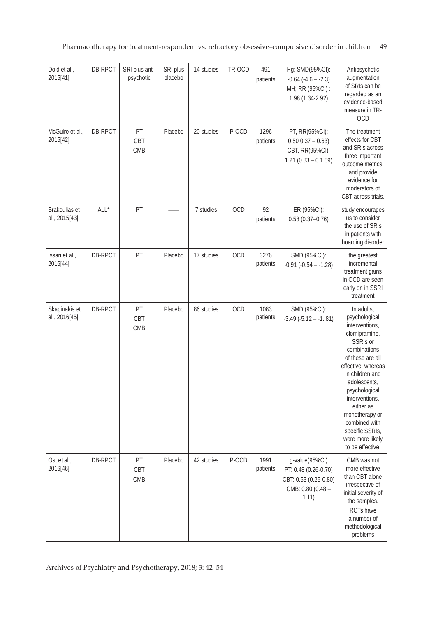Pharmacotherapy for treatment-respondent vs. refractory obsessive–compulsive disorder in children 49

| Dold et al.,<br>2015[41]       | DB-RPCT | SRI plus anti-<br>psychotic | SRI plus<br>placebo | 14 studies | TR-OCD | 491<br>patients  | Hg; SMD(95%CI):<br>$-0.64$ $(-4.6 - -2.3)$<br>MH; RR (95%CI) :<br>1.98 (1.34-2.92)            | Antipsychotic<br>augmentation<br>of SRIs can be<br>regarded as an<br>evidence-based<br>measure in TR-<br>OCD                                                                                                                                                                                                          |
|--------------------------------|---------|-----------------------------|---------------------|------------|--------|------------------|-----------------------------------------------------------------------------------------------|-----------------------------------------------------------------------------------------------------------------------------------------------------------------------------------------------------------------------------------------------------------------------------------------------------------------------|
| McGuire et al.,<br>2015[42]    | DB-RPCT | PT<br>CBT<br>CMB            | Placebo             | 20 studies | P-OCD  | 1296<br>patients | PT, RR(95%CI):<br>$0.50 0.37 - 0.63$<br>CBT, RR(95%CI):<br>$1.21 (0.83 - 0.1.59)$             | The treatment<br>effects for CBT<br>and SRIs across<br>three important<br>outcome metrics,<br>and provide<br>evidence for<br>moderators of<br>CBT across trials.                                                                                                                                                      |
| Brakoulias et<br>al., 2015[43] | ALL*    | PT                          |                     | 7 studies  | OCD    | 92<br>patients   | ER (95%CI):<br>$0.58(0.37 - 0.76)$                                                            | study encourages<br>us to consider<br>the use of SRIs<br>in patients with<br>hoarding disorder                                                                                                                                                                                                                        |
| Issari et al.,<br>2016[44]     | DB-RPCT | PT                          | Placebo             | 17 studies | OCD    | 3276<br>patients | SMD (95%CI):<br>$-0.91$ $(-0.54 - 1.28)$                                                      | the greatest<br>incremental<br>treatment gains<br>in OCD are seen<br>early on in SSRI<br>treatment                                                                                                                                                                                                                    |
| Skapinakis et<br>al., 2016[45] | DB-RPCT | PT<br>CBT<br><b>CMB</b>     | Placebo             | 86 studies | OCD    | 1083<br>patients | SMD (95%CI):<br>$-3.49(-5.12 - -1.81)$                                                        | In adults,<br>psychological<br>interventions,<br>clomipramine,<br>SSRIs or<br>combinations<br>of these are all<br>effective, whereas<br>in children and<br>adolescents,<br>psychological<br>interventions,<br>either as<br>monotherapy or<br>combined with<br>specific SSRIs,<br>were more likely<br>to be effective. |
| Öst et al.,<br>2016[46]        | DB-RPCT | PT<br>CBT<br>CMB            | Placebo             | 42 studies | P-OCD  | 1991<br>patients | g-value(95%Cl)<br>PT: 0.48 (0.26-0.70)<br>CBT: 0.53 (0.25-0.80)<br>CMB: 0.80 (0.48 -<br>1.11) | CMB was not<br>more effective<br>than CBT alone<br>irrespective of<br>initial severity of<br>the samples.<br>RCTs have<br>a number of<br>methodological<br>problems                                                                                                                                                   |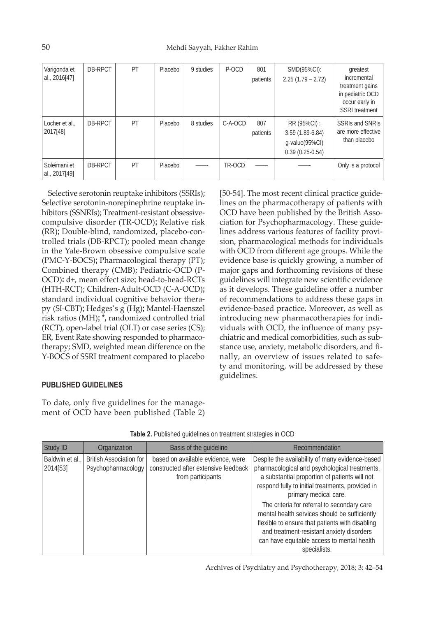| Varigonda et<br>al., 2016[47] | DB-RPCT | PT | Placebo | 9 studies | P-OCD   | 801<br>patients | SMD(95%CI):<br>$2.25(1.79 - 2.72)$                                      | greatest<br>incremental<br>treatment gains<br>in pediatric OCD<br>occur early in<br><b>SSRI</b> treatment |
|-------------------------------|---------|----|---------|-----------|---------|-----------------|-------------------------------------------------------------------------|-----------------------------------------------------------------------------------------------------------|
| Locher et al.,<br>2017[48]    | DB-RPCT | PT | Placebo | 8 studies | C-A-OCD | 807<br>patients | RR (95%CI) :<br>3.59 (1.89-6.84)<br>g-value(95%CI)<br>$0.39(0.25-0.54)$ | <b>SSRIs and SNRIS</b><br>are more effective<br>than placebo                                              |
| Soleimani et<br>al., 2017[49] | DB-RPCT | PT | Placebo |           | TR-OCD  |                 |                                                                         | Only is a protocol                                                                                        |

Selective serotonin reuptake inhibitors (SSRIs); Selective serotonin-norepinephrine reuptake inhibitors (SSNRIs); Treatment-resistant obsessivecompulsive disorder (TR-OCD)**;** Relative risk (RR)**;** Double-blind, randomized, placebo-controlled trials (DB-RPCT); pooled mean change in the Yale-Brown obsessive compulsive scale (PMC-Y-BOCS)**;** Pharmacological therapy (PT); Combined therapy (CMB); Pediatric-OCD (P-OCD)**:** d+, mean effect size**;** head-to-head-RCTs (HTH-RCT); Children-Adult-OCD (C-A-OCD)**;**  standard individual cognitive behavior therapy (SI-CBT)**;** Hedges's g (Hg)**;** Mantel-Haenszel risk ratios (MH)**; \*,** randomized controlled trial (RCT), open-label trial (OLT) or case series (CS); ER, Event Rate showing responded to pharmacotherapy; SMD, weighted mean difference on the Y-BOCS of SSRI treatment compared to placebo

[50-54]. The most recent clinical practice guidelines on the pharmacotherapy of patients with OCD have been published by the British Association for Psychopharmacology. These guidelines address various features of facility provision, pharmacological methods for individuals with OCD from different age groups. While the evidence base is quickly growing, a number of major gaps and forthcoming revisions of these guidelines will integrate new scientific evidence as it develops. These guideline offer a number of recommendations to address these gaps in evidence-based practice. Moreover, as well as introducing new pharmacotherapies for individuals with OCD, the influence of many psychiatric and medical comorbidities, such as substance use, anxiety, metabolic disorders, and finally, an overview of issues related to safety and monitoring, will be addressed by these guidelines.

# **PUBLISHED GUIDELINES**

To date, only five guidelines for the management of OCD have been published (Table 2)

| Study ID                    | Organization                                         | Basis of the guideline                                                                         | Recommendation                                                                                                                                                                                                                                                                                                                                                                                                                                                                               |
|-----------------------------|------------------------------------------------------|------------------------------------------------------------------------------------------------|----------------------------------------------------------------------------------------------------------------------------------------------------------------------------------------------------------------------------------------------------------------------------------------------------------------------------------------------------------------------------------------------------------------------------------------------------------------------------------------------|
| Baldwin et al.,<br>2014[53] | <b>British Association for</b><br>Psychopharmacology | based on available evidence, were<br>constructed after extensive feedback<br>from participants | Despite the availability of many evidence-based<br>pharmacological and psychological treatments,<br>a substantial proportion of patients will not<br>respond fully to initial treatments, provided in<br>primary medical care.<br>The criteria for referral to secondary care<br>mental health services should be sufficiently<br>flexible to ensure that patients with disabling<br>and treatment-resistant anxiety disorders<br>can have equitable access to mental health<br>specialists. |

**Table 2.** Published guidelines on treatment strategies in OCD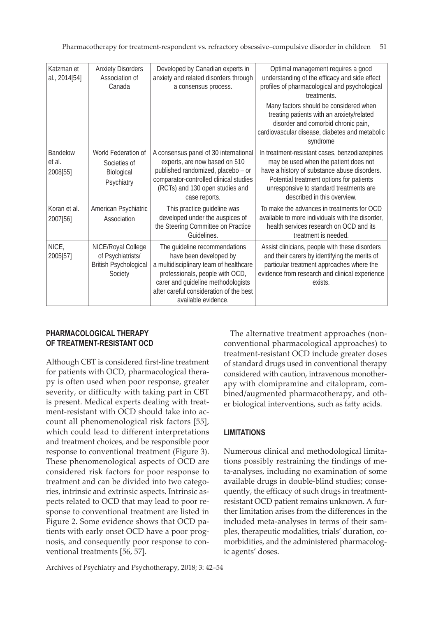Pharmacotherapy for treatment-respondent vs. refractory obsessive–compulsive disorder in children 51

| Katzman et<br>al., 2014[54]           | <b>Anxiety Disorders</b><br>Association of<br>Canada                               | Developed by Canadian experts in<br>anxiety and related disorders through<br>a consensus process.                                                                                                                                            | Optimal management requires a good<br>understanding of the efficacy and side effect<br>profiles of pharmacological and psychological<br>treatments.<br>Many factors should be considered when<br>treating patients with an anxiety/related<br>disorder and comorbid chronic pain,<br>cardiovascular disease, diabetes and metabolic<br>syndrome |
|---------------------------------------|------------------------------------------------------------------------------------|----------------------------------------------------------------------------------------------------------------------------------------------------------------------------------------------------------------------------------------------|-------------------------------------------------------------------------------------------------------------------------------------------------------------------------------------------------------------------------------------------------------------------------------------------------------------------------------------------------|
| <b>Bandelow</b><br>et al.<br>2008[55] | World Federation of<br>Societies of<br>Biological<br>Psychiatry                    | A consensus panel of 30 international<br>experts, are now based on 510<br>published randomized, placebo - or<br>comparator-controlled clinical studies<br>(RCTs) and 130 open studies and<br>case reports.                                   | In treatment-resistant cases, benzodiazepines<br>may be used when the patient does not<br>have a history of substance abuse disorders.<br>Potential treatment options for patients<br>unresponsive to standard treatments are<br>described in this overview.                                                                                    |
| Koran et al.<br>2007[56]              | American Psychiatric<br>Association                                                | This practice guideline was<br>developed under the auspices of<br>the Steering Committee on Practice<br>Guidelines.                                                                                                                          | To make the advances in treatments for OCD<br>available to more individuals with the disorder,<br>health services research on OCD and its<br>treatment is needed.                                                                                                                                                                               |
| NICE,<br>2005[57]                     | NICE/Royal College<br>of Psychiatrists/<br><b>British Psychological</b><br>Society | The guideline recommendations<br>have been developed by<br>a multidisciplinary team of healthcare<br>professionals, people with OCD,<br>carer and guideline methodologists<br>after careful consideration of the best<br>available evidence. | Assist clinicians, people with these disorders<br>and their carers by identifying the merits of<br>particular treatment approaches where the<br>evidence from research and clinical experience<br>exists.                                                                                                                                       |

# **PHARMACOLOGICAL THERAPY OF TREATMENT-RESISTANT OCD**

Although CBT is considered first-line treatment for patients with OCD, pharmacological therapy is often used when poor response, greater severity, or difficulty with taking part in CBT is present. Medical experts dealing with treatment-resistant with OCD should take into account all phenomenological risk factors [55], which could lead to different interpretations and treatment choices, and be responsible poor response to conventional treatment (Figure 3). These phenomenological aspects of OCD are considered risk factors for poor response to treatment and can be divided into two categories, intrinsic and extrinsic aspects. Intrinsic aspects related to OCD that may lead to poor response to conventional treatment are listed in Figure 2. Some evidence shows that OCD patients with early onset OCD have a poor prognosis, and consequently poor response to conventional treatments [56, 57].

The alternative treatment approaches (nonconventional pharmacological approaches) to treatment-resistant OCD include greater doses of standard drugs used in conventional therapy considered with caution, intravenous monotherapy with clomipramine and citalopram, combined/augmented pharmacotherapy, and other biological interventions, such as fatty acids.

# **LIMITATIONS**

Numerous clinical and methodological limitations possibly restraining the findings of meta-analyses, including no examination of some available drugs in double-blind studies; consequently, the efficacy of such drugs in treatmentresistant OCD patient remains unknown. A further limitation arises from the differences in the included meta-analyses in terms of their samples, therapeutic modalities, trials' duration, comorbidities, and the administered pharmacologic agents' doses.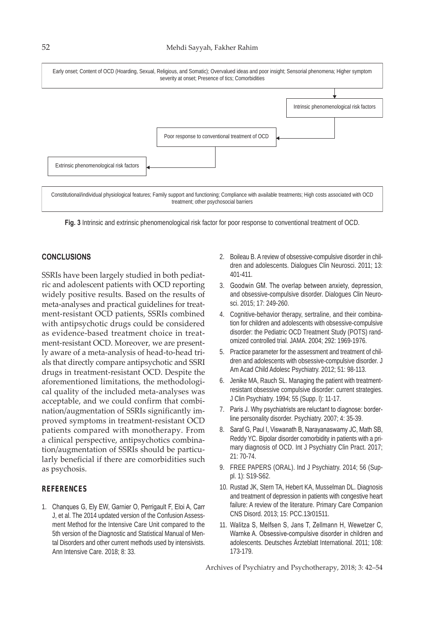#### 52 Mehdi Sayyah, Fakher Rahim



**Fig. 3** Intrinsic and extrinsic phenomenological risk factor for poor response to conventional treatment of OCD.

### **CONCLUSIONS**

SSRIs have been largely studied in both pediatric and adolescent patients with OCD reporting widely positive results. Based on the results of meta-analyses and practical guidelines for treatment-resistant OCD patients, SSRIs combined with antipsychotic drugs could be considered as evidence-based treatment choice in treatment-resistant OCD. Moreover, we are presently aware of a meta-analysis of head-to-head trials that directly compare antipsychotic and SSRI drugs in treatment-resistant OCD. Despite the aforementioned limitations, the methodological quality of the included meta-analyses was acceptable, and we could confirm that combination/augmentation of SSRIs significantly improved symptoms in treatment-resistant OCD patients compared with monotherapy. From a clinical perspective, antipsychotics combination/augmentation of SSRIs should be particularly beneficial if there are comorbidities such as psychosis.

#### **REFERENCES**

1. Chanques G, Ely EW, Garnier O, Perrigault F, Eloi A, Carr J, et al. The 2014 updated version of the Confusion Assessment Method for the Intensive Care Unit compared to the 5th version of the Diagnostic and Statistical Manual of Mental Disorders and other current methods used by intensivists. Ann Intensive Care. 2018; 8: 33.

- 2. Boileau B. A review of obsessive-compulsive disorder in children and adolescents. Dialogues Clin Neurosci. 2011; 13: 401-411.
- 3. Goodwin GM. The overlap between anxiety, depression, and obsessive-compulsive disorder. Dialogues Clin Neurosci. 2015; 17: 249-260.
- 4. Cognitive-behavior therapy, sertraline, and their combination for children and adolescents with obsessive-compulsive disorder: the Pediatric OCD Treatment Study (POTS) randomized controlled trial. JAMA. 2004; 292: 1969-1976.
- 5. Practice parameter for the assessment and treatment of children and adolescents with obsessive-compulsive disorder. J Am Acad Child Adolesc Psychiatry. 2012; 51: 98-113.
- 6. Jenike MA, Rauch SL. Managing the patient with treatmentresistant obsessive compulsive disorder: current strategies. J Clin Psychiatry. 1994; 55 (Supp. l): 11-17.
- 7. Paris J. Why psychiatrists are reluctant to diagnose: borderline personality disorder. Psychiatry. 2007; 4: 35-39.
- 8. Saraf G, Paul I, Viswanath B, Narayanaswamy JC, Math SB, Reddy YC. Bipolar disorder comorbidity in patients with a primary diagnosis of OCD. Int J Psychiatry Clin Pract. 2017; 21: 70-74.
- 9. FREE PAPERS (ORAL). Ind J Psychiatry. 2014; 56 (Suppl. 1): S19-S62.
- 10. Rustad JK, Stern TA, Hebert KA, Musselman DL. Diagnosis and treatment of depression in patients with congestive heart failure: A review of the literature. Primary Care Companion CNS Disord. 2013; 15: PCC.13r01511.
- 11. Walitza S, Melfsen S, Jans T, Zellmann H, Wewetzer C, Warnke A. Obsessive-compulsive disorder in children and adolescents. Deutsches Ärzteblatt International. 2011; 108: 173-179.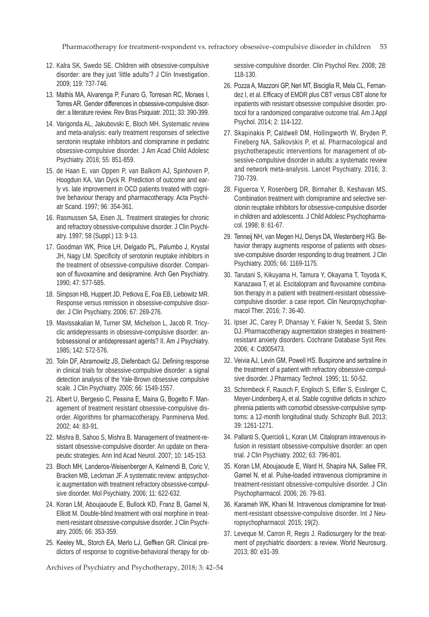Pharmacotherapy for treatment-respondent vs. refractory obsessive–compulsive disorder in children 53

- 12. Kalra SK, Swedo SE. Children with obsessive-compulsive disorder: are they just 'little adults'? J Clin Investigation. 2009; 119: 737-746.
- 13. Mathis MA, Alvarenga P, Funaro G, Torresan RC, Moraes I, Torres AR. Gender differences in obsessive-compulsive disorder: a literature review. Rev Bras Psiquiatr. 2011; 33: 390-399.
- 14. Varigonda AL, Jakubovski E, Bloch MH. Systematic review and meta-analysis: early treatment responses of selective serotonin reuptake inhibitors and clomipramine in pediatric obsessive-compulsive disorder. J Am Acad Child Adolesc Psychiatry. 2016; 55: 851-859.
- 15. de Haan E, van Oppen P, van Balkom AJ, Spinhoven P, Hoogduin KA, Van Dyck R. Prediction of outcome and early vs. late improvement in OCD patients treated with cognitive behaviour therapy and pharmacotherapy. Acta Psychiatr Scand. 1997; 96: 354-361.
- 16. Rasmussen SA, Eisen JL. Treatment strategies for chronic and refractory obsessive-compulsive disorder. J Clin Psychiatry. 1997; 58 (Suppl.) 13: 9-13.
- 17. Goodman WK, Price LH, Delgado PL, Palumbo J, Krystal JH, Nagy LM. Specificity of serotonin reuptake inhibitors in the treatment of obsessive-compulsive disorder. Comparison of fluvoxamine and desipramine. Arch Gen Psychiatry. 1990; 47: 577-585.
- 18. Simpson HB, Huppert JD, Petkova E, Foa EB, Liebowitz MR. Response versus remission in obsessive-compulsive disorder. J Clin Psychiatry. 2006; 67: 269-276.
- 19. Mavissakalian M, Turner SM, Michelson L, Jacob R. Tricyclic antidepressants in obsessive-compulsive disorder: antiobsessional or antidepressant agents? II. Am J Psychiatry. 1985; 142: 572-576.
- 20. Tolin DF, Abramowitz JS, Diefenbach GJ. Defining response in clinical trials for obsessive-compulsive disorder: a signal detection analysis of the Yale-Brown obsessive compulsive scale. J Clin Psychiatry. 2005; 66: 1549-1557.
- 21. Albert U, Bergesio C, Pessina E, Maina G, Bogetto F. Management of treatment resistant obsessive-compulsive disorder. Algorithms for pharmacotherapy. Panminerva Med. 2002; 44: 83-91.
- 22. Mishra B, Sahoo S, Mishra B. Management of treatment-resistant obsessive-compulsive disorder: An update on therapeutic strategies. Ann Ind Acad Neurol. 2007; 10: 145-153.
- 23. Bloch MH, Landeros-Weisenberger A, Kelmendi B, Coric V, Bracken MB, Leckman JF. A systematic review: antipsychotic augmentation with treatment refractory obsessive-compulsive disorder. Mol Psychiatry. 2006; 11: 622-632.
- 24. Koran LM, Aboujaoude E, Bullock KD, Franz B, Gamel N, Elliott M. Double-blind treatment with oral morphine in treatment-resistant obsessive-compulsive disorder. J Clin Psychiatry. 2005; 66: 353-359.
- 25. Keeley ML, Storch EA, Merlo LJ, Geffken GR. Clinical predictors of response to cognitive-behavioral therapy for ob-

Archives of Psychiatry and Psychotherapy, 2018; 3: 42–54

sessive-compulsive disorder. Clin Psychol Rev. 2008; 28: 118-130.

- 26. Pozza A, Mazzoni GP, Neri MT, Bisciglia R, Mela CL, Fernandez I, et al. Efficacy of EMDR plus CBT versus CBT alone for inpatients with resistant obsessive compulsive disorder. protocol for a randomized comparative outcome trial. Am J Appl Psychol. 2014; 2: 114-122.
- 27. Skapinakis P, Caldwell DM, Hollingworth W, Bryden P, Fineberg NA, Salkovskis P, et al. Pharmacological and psychotherapeutic interventions for management of obsessive-compulsive disorder in adults: a systematic review and network meta-analysis. Lancet Psychiatry. 2016; 3: 730-739.
- 28. Figueroa Y, Rosenberg DR, Birmaher B, Keshavan MS. Combination treatment with clomipramine and selective serotonin reuptake inhibitors for obsessive-compulsive disorder in children and adolescents. J Child Adolesc Psychopharmacol. 1998; 8: 61-67.
- 29. Tenneij NH, van Megen HJ, Denys DA, Westenberg HG. Behavior therapy augments response of patients with obsessive-compulsive disorder responding to drug treatment. J Clin Psychiatry. 2005; 66: 1169-1175.
- 30. Tarutani S, Kikuyama H, Tamura Y, Okayama T, Toyoda K, Kanazawa T, et al. Escitalopram and fluvoxamine combination therapy in a patient with treatment-resistant obsessivecompulsive disorder: a case report. Clin Neuropsychopharmacol Ther. 2016; 7: 36-40.
- 31. Ipser JC, Carey P, Dhansay Y, Fakier N, Seedat S, Stein DJ. Pharmacotherapy augmentation strategies in treatmentresistant anxiety disorders. Cochrane Database Syst Rev. 2006; 4: Cd005473.
- 32. Veivia AJ, Levin GM, Powell HS. Buspirone and sertraline in the treatment of a patient with refractory obsessive-compulsive disorder. J Pharmacy Technol. 1995; 11: 50-52.
- 33. Schirmbeck F, Rausch F, Englisch S, Eifler S, Esslinger C, Meyer-Lindenberg A, et al. Stable cognitive deficits in schizophrenia patients with comorbid obsessive-compulsive symptoms: a 12-month longitudinal study. Schizophr Bull. 2013; 39: 1261-1271.
- 34. Pallanti S, Quercioli L, Koran LM. Citalopram intravenous infusion in resistant obsessive-compulsive disorder: an open trial. J Clin Psychiatry. 2002; 63: 796-801.
- 35. Koran LM, Aboujaoude E, Ward H, Shapira NA, Sallee FR, Gamel N, et al. Pulse-loaded intravenous clomipramine in treatment-resistant obsessive-compulsive disorder. J Clin Psychopharmacol. 2006; 26: 79-83.
- 36. Karameh WK, Khani M. Intravenous clomipramine for treatment-resistant obsessive-compulsive disorder. Int J Neuropsychopharmacol. 2015; 19(2).
- 37. Leveque M, Carron R, Regis J. Radiosurgery for the treatment of psychiatric disorders: a review. World Neurosurg. 2013; 80: e31-39.